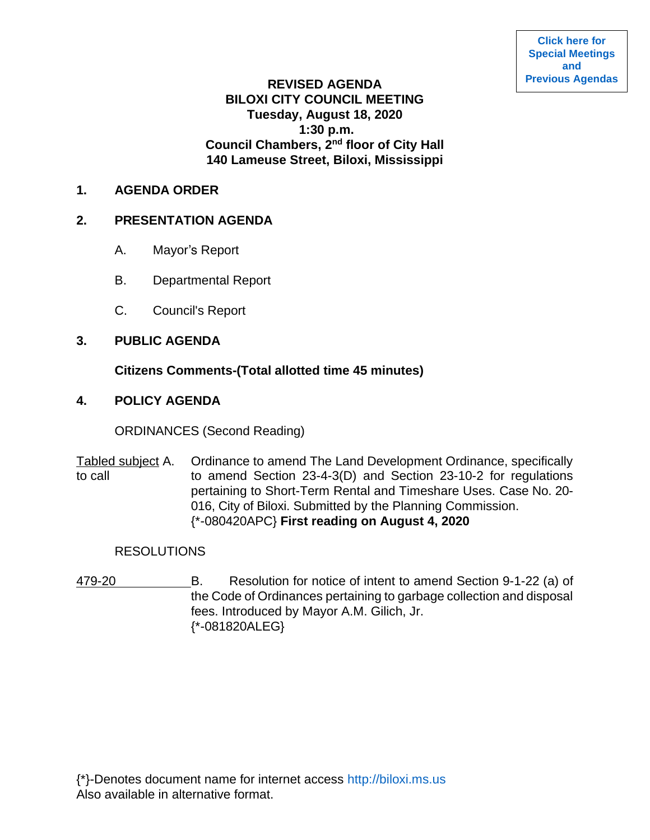# **REVISED AGENDA BILOXI CITY COUNCIL MEETING Tuesday, August 18, 2020 1:30 p.m. Council Chambers, 2nd floor of City Hall 140 Lameuse Street, Biloxi, Mississippi**

#### **1. AGENDA ORDER**

### **2. PRESENTATION AGENDA**

- A. Mayor's Report
- B. Departmental Report
- C. Council's Report

## **3. PUBLIC AGENDA**

## **Citizens Comments-(Total allotted time 45 minutes)**

## **4. POLICY AGENDA**

ORDINANCES (Second Reading)

Tabled subject A. Ordinance to amend The Land Development Ordinance, specifically to call to amend Section 23-4-3(D) and Section 23-10-2 for regulations pertaining to Short-Term Rental and Timeshare Uses. Case No. 20- 016, City of Biloxi. Submitted by the Planning Commission. {\*-080420APC} **First reading on August 4, 2020**

### **RESOLUTIONS**

479-20 B. Resolution for notice of intent to amend Section 9-1-22 (a) of the Code of Ordinances pertaining to garbage collection and disposal fees. Introduced by Mayor A.M. Gilich, Jr. {\*-081820ALEG}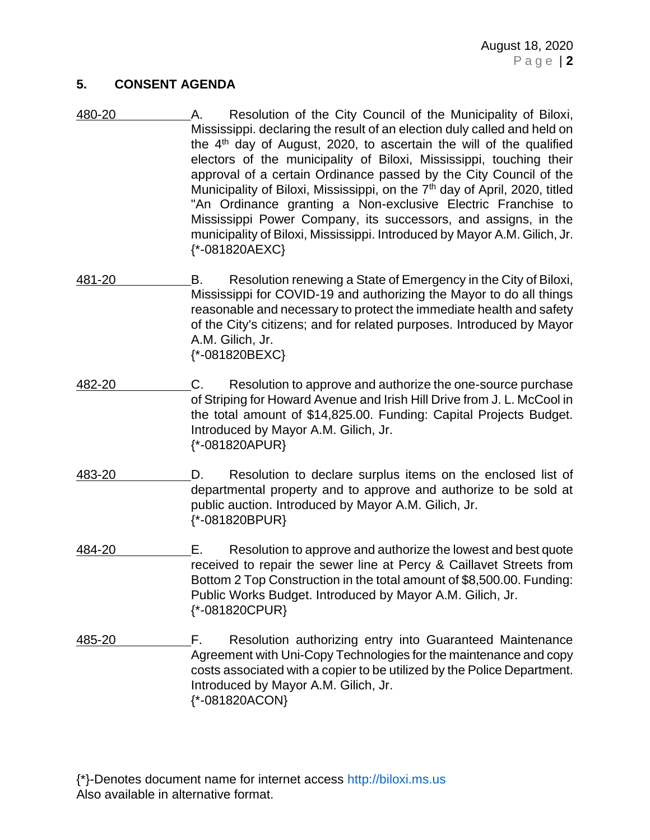#### **5. CONSENT AGENDA**

- 480-20 A. Resolution of the City Council of the Municipality of Biloxi, Mississippi. declaring the result of an election duly called and held on the 4th day of August, 2020, to ascertain the will of the qualified electors of the municipality of Biloxi, Mississippi, touching their approval of a certain Ordinance passed by the City Council of the Municipality of Biloxi, Mississippi, on the 7<sup>th</sup> day of April, 2020, titled "An Ordinance granting a Non-exclusive Electric Franchise to Mississippi Power Company, its successors, and assigns, in the municipality of Biloxi, Mississippi. Introduced by Mayor A.M. Gilich, Jr. {\*-081820AEXC}
- 481-20 B. Resolution renewing a State of Emergency in the City of Biloxi, Mississippi for COVID-19 and authorizing the Mayor to do all things reasonable and necessary to protect the immediate health and safety of the City's citizens; and for related purposes. Introduced by Mayor A.M. Gilich, Jr. {\*-081820BEXC}
- 482-20 C. Resolution to approve and authorize the one-source purchase of Striping for Howard Avenue and Irish Hill Drive from J. L. McCool in the total amount of \$14,825.00. Funding: Capital Projects Budget. Introduced by Mayor A.M. Gilich, Jr. {\*-081820APUR}
- 483-20 D. Resolution to declare surplus items on the enclosed list of departmental property and to approve and authorize to be sold at public auction. Introduced by Mayor A.M. Gilich, Jr. {\*-081820BPUR}
- 484-20 E. Resolution to approve and authorize the lowest and best quote received to repair the sewer line at Percy & Caillavet Streets from Bottom 2 Top Construction in the total amount of \$8,500.00. Funding: Public Works Budget. Introduced by Mayor A.M. Gilich, Jr. {\*-081820CPUR}
- 485-20 F. Resolution authorizing entry into Guaranteed Maintenance Agreement with Uni-Copy Technologies for the maintenance and copy costs associated with a copier to be utilized by the Police Department. Introduced by Mayor A.M. Gilich, Jr. {\*-081820ACON}

{\*}-Denotes document name for internet access [http://biloxi.ms.us](http://biloxi.ms.us/) Also available in alternative format.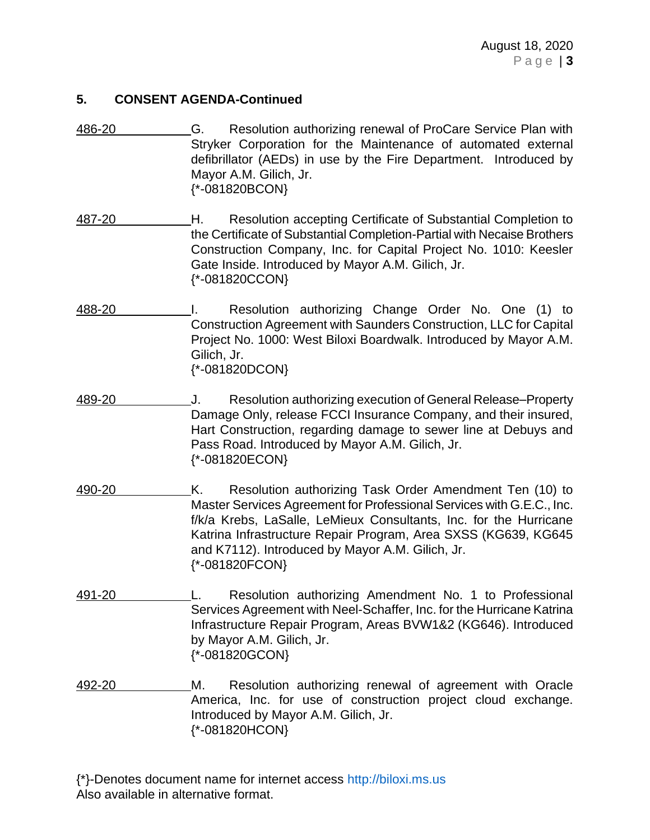### **5. CONSENT AGENDA-Continued**

- 486-20 G. Resolution authorizing renewal of ProCare Service Plan with Stryker Corporation for the Maintenance of automated external defibrillator (AEDs) in use by the Fire Department. Introduced by Mayor A.M. Gilich, Jr. {\*-081820BCON}
- 487-20 H. Resolution accepting Certificate of Substantial Completion to the Certificate of Substantial Completion-Partial with Necaise Brothers Construction Company, Inc. for Capital Project No. 1010: Keesler Gate Inside. Introduced by Mayor A.M. Gilich, Jr. {\*-081820CCON}
- 488-20 I. Resolution authorizing Change Order No. One (1) to Construction Agreement with Saunders Construction, LLC for Capital Project No. 1000: West Biloxi Boardwalk. Introduced by Mayor A.M. Gilich, Jr. {\*-081820DCON}
- 489-20 J. Resolution authorizing execution of General Release–Property Damage Only, release FCCI Insurance Company, and their insured, Hart Construction, regarding damage to sewer line at Debuys and Pass Road. Introduced by Mayor A.M. Gilich, Jr. {\*-081820ECON}
- 490-20 K. Resolution authorizing Task Order Amendment Ten (10) to Master Services Agreement for Professional Services with G.E.C., Inc. f/k/a Krebs, LaSalle, LeMieux Consultants, Inc. for the Hurricane Katrina Infrastructure Repair Program, Area SXSS (KG639, KG645 and K7112). Introduced by Mayor A.M. Gilich, Jr. {\*-081820FCON}
- 491-20 L. Resolution authorizing Amendment No. 1 to Professional Services Agreement with Neel-Schaffer, Inc. for the Hurricane Katrina Infrastructure Repair Program, Areas BVW1&2 (KG646). Introduced by Mayor A.M. Gilich, Jr. {\*-081820GCON}
- 492-20 M. Resolution authorizing renewal of agreement with Oracle America, Inc. for use of construction project cloud exchange. Introduced by Mayor A.M. Gilich, Jr. {\*-081820HCON}

{\*}-Denotes document name for internet access [http://biloxi.ms.us](http://biloxi.ms.us/) Also available in alternative format.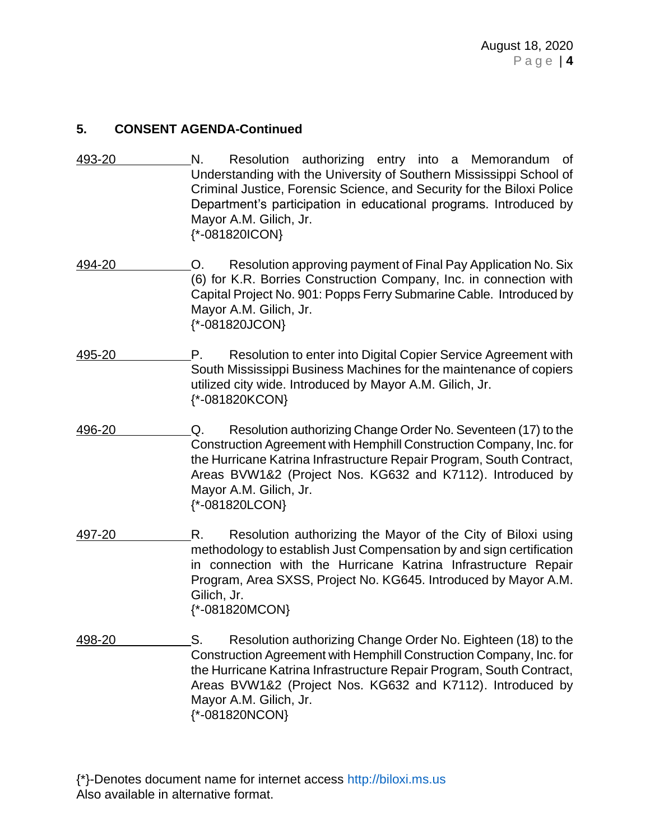### **5. CONSENT AGENDA-Continued**

- 493-20 N. Resolution authorizing entry into a Memorandum of Understanding with the University of Southern Mississippi School of Criminal Justice, Forensic Science, and Security for the Biloxi Police Department's participation in educational programs. Introduced by Mayor A.M. Gilich, Jr. {\*-081820ICON}
- 494-20 O. Resolution approving payment of Final Pay Application No. Six (6) for K.R. Borries Construction Company, Inc. in connection with Capital Project No. 901: Popps Ferry Submarine Cable. Introduced by Mayor A.M. Gilich, Jr. {\*-081820JCON}
- 495-20 P. Resolution to enter into Digital Copier Service Agreement with South Mississippi Business Machines for the maintenance of copiers utilized city wide. Introduced by Mayor A.M. Gilich, Jr. {\*-081820KCON}
- 496-20 Q. Resolution authorizing Change Order No. Seventeen (17) to the Construction Agreement with Hemphill Construction Company, Inc. for the Hurricane Katrina Infrastructure Repair Program, South Contract, Areas BVW1&2 (Project Nos. KG632 and K7112). Introduced by Mayor A.M. Gilich, Jr. {\*-081820LCON}
- 497-20 R. Resolution authorizing the Mayor of the City of Biloxi using methodology to establish Just Compensation by and sign certification in connection with the Hurricane Katrina Infrastructure Repair Program, Area SXSS, Project No. KG645. Introduced by Mayor A.M. Gilich, Jr. {\*-081820MCON}
- 498-20 S. Resolution authorizing Change Order No. Eighteen (18) to the Construction Agreement with Hemphill Construction Company, Inc. for the Hurricane Katrina Infrastructure Repair Program, South Contract, Areas BVW1&2 (Project Nos. KG632 and K7112). Introduced by Mayor A.M. Gilich, Jr. {\*-081820NCON}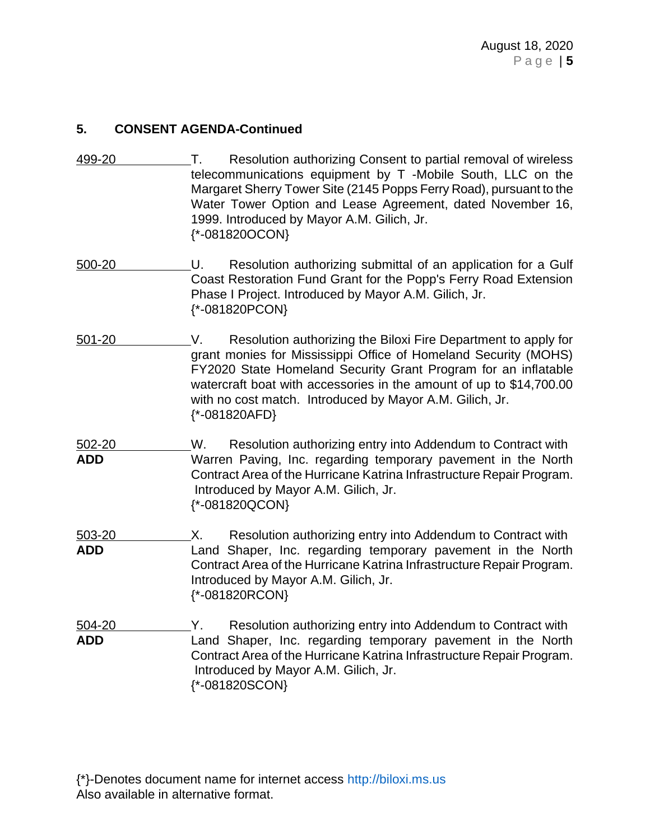## **5. CONSENT AGENDA-Continued**

- 499-20 T. Resolution authorizing Consent to partial removal of wireless telecommunications equipment by T -Mobile South, LLC on the Margaret Sherry Tower Site (2145 Popps Ferry Road), pursuant to the Water Tower Option and Lease Agreement, dated November 16, 1999. Introduced by Mayor A.M. Gilich, Jr. {\*-081820OCON}
- 500-20 U. Resolution authorizing submittal of an application for a Gulf Coast Restoration Fund Grant for the Popp's Ferry Road Extension Phase I Project. Introduced by Mayor A.M. Gilich, Jr. {\*-081820PCON}
- 501-20 V. Resolution authorizing the Biloxi Fire Department to apply for grant monies for Mississippi Office of Homeland Security (MOHS) FY2020 State Homeland Security Grant Program for an inflatable watercraft boat with accessories in the amount of up to \$14,700.00 with no cost match. Introduced by Mayor A.M. Gilich, Jr. {\*-081820AFD}

502-20 W. Resolution authorizing entry into Addendum to Contract with **ADD** Warren Paving, Inc. regarding temporary pavement in the North Contract Area of the Hurricane Katrina Infrastructure Repair Program. Introduced by Mayor A.M. Gilich, Jr. {\*-081820QCON}

503-20 X. Resolution authorizing entry into Addendum to Contract with **ADD** Land Shaper, Inc. regarding temporary pavement in the North Contract Area of the Hurricane Katrina Infrastructure Repair Program. Introduced by Mayor A.M. Gilich, Jr. {\*-081820RCON}

504-20 Y. Resolution authorizing entry into Addendum to Contract with **ADD** Land Shaper, Inc. regarding temporary pavement in the North Contract Area of the Hurricane Katrina Infrastructure Repair Program. Introduced by Mayor A.M. Gilich, Jr. {\*-081820SCON}

{\*}-Denotes document name for internet access [http://biloxi.ms.us](http://biloxi.ms.us/) Also available in alternative format.